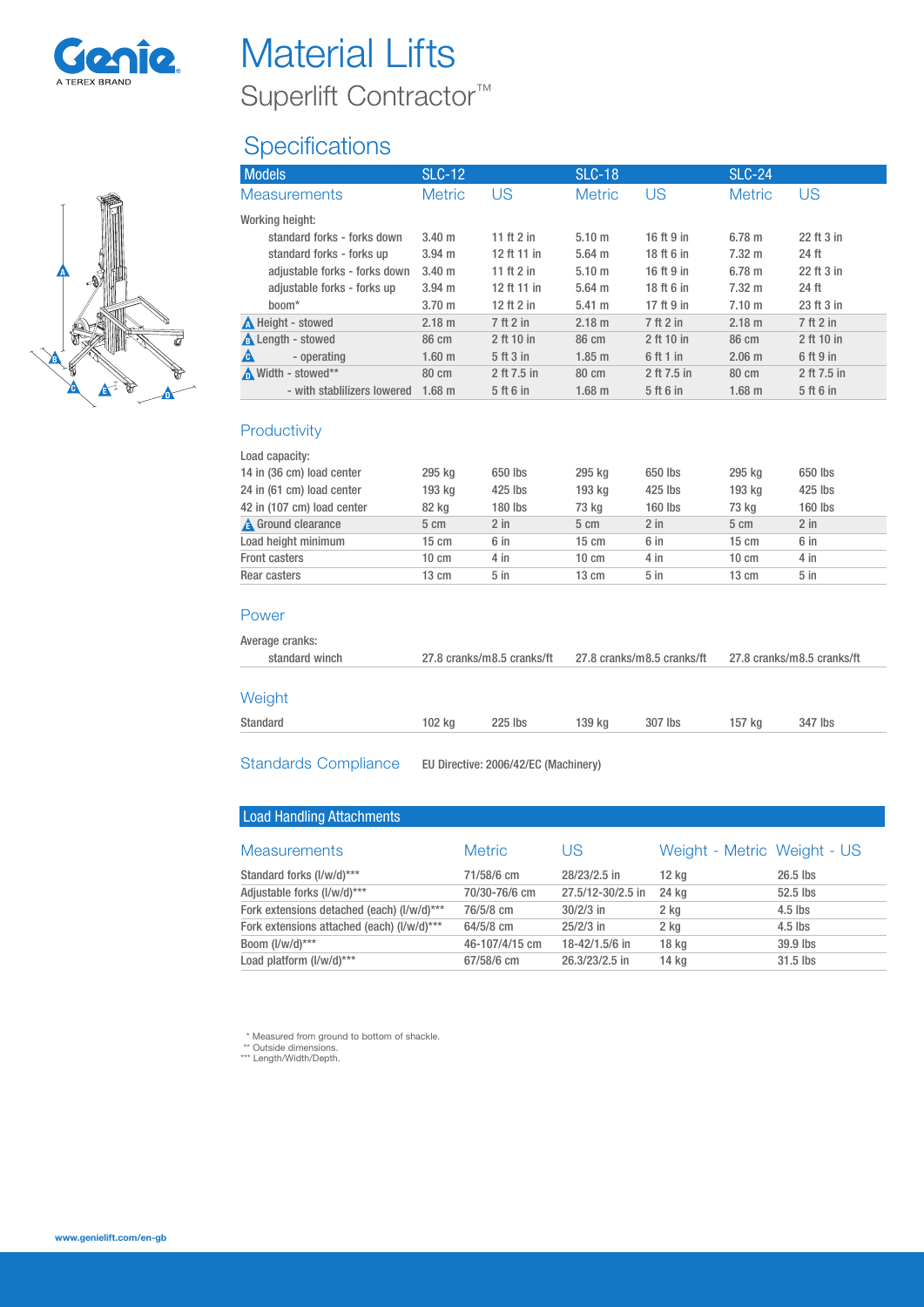



| <b>Material Lifts</b>             |  |
|-----------------------------------|--|
| Superlift Contractor <sup>™</sup> |  |

# **Specifications**

| <b>Models</b>                 | <b>SLC-12</b>     |              | <b>SLC-18</b>     |             | <b>SLC-24</b>    |             |
|-------------------------------|-------------------|--------------|-------------------|-------------|------------------|-------------|
| <b>Measurements</b>           | <b>Metric</b>     | US           | <b>Metric</b>     | US          | <b>Metric</b>    | US          |
| Working height:               |                   |              |                   |             |                  |             |
| standard forks - forks down   | $3.40 \text{ m}$  | 11 ft 2 in   | 5.10 <sub>m</sub> | 16 ft 9 in  | 6.78 m           | 22 ft 3 in  |
| standard forks - forks up     | $3.94 \text{ m}$  | 12 ft 11 in  | $5.64$ m          | 18 ft 6 in  | $7.32 \text{ m}$ | 24 ft       |
| adjustable forks - forks down | 3.40 m            | 11 ft $2$ in | 5.10 m            | 16 ft 9 in  | $6.78 \; m$      | 22 ft 3 in  |
| adjustable forks - forks up   | $3.94 \text{ m}$  | 12 ft 11 in  | $5.64$ m          | 18 ft 6 in  | $7.32 \text{ m}$ | 24 ft       |
| boom <sup>*</sup>             | 3.70 <sub>m</sub> | 12 ft $2$ in | 5.41 m            | 17 ft 9 in  | 7.10 m           | 23 ft 3 in  |
| <b>A</b> Height - stowed      | 2.18 m            | 7 ft 2 in    | 2.18 m            | 7 ft 2 in   | 2.18 m           | 7 ft 2 in   |
| <b>A</b> Length - stowed      | 86 cm             | 2 ft 10 in   | 86 cm             | 2 ft 10 in  | 86 cm            | 2 ft 10 in  |
| A<br>- operating              | 1.60 <sub>m</sub> | 5 ft 3 in    | $1.85$ m          | 6 ft 1 in   | $2.06 \; m$      | 6 ft 9 in   |
| M Width - stowed**            | 80 cm             | 2 ft 7.5 in  | 80 cm             | 2 ft 7.5 in | 80 cm            | 2 ft 7.5 in |
| - with stablilizers lowered   | $1.68$ m          | 5 ft 6 in    | $1.68$ m          | 5 ft 6 in   | $1.68$ m         | 5 ft 6 in   |

### **Productivity**

| Load capacity:             |                 |         |                 |         |                 |                 |  |
|----------------------------|-----------------|---------|-----------------|---------|-----------------|-----------------|--|
| 14 in (36 cm) load center  | 295 kg          | 650 lbs | 295 kg          | 650 lbs | 295 kg          | 650 lbs         |  |
| 24 in (61 cm) load center  | 193 kg          | 425 lbs | 193 kg          | 425 lbs | 193 kg          | 425 lbs         |  |
| 42 in (107 cm) load center | 82 kg           | 180 lbs | 73 kg           | 160 lbs | 73 kg           | 160 lbs         |  |
| <b>A</b> Ground clearance  | 5 cm            | $2$ in  | 5 cm            | $2$ in  | 5 cm            | $2$ in          |  |
| Load height minimum        | $15 \text{ cm}$ | 6 in    | $15 \text{ cm}$ | 6 in    | $15 \text{ cm}$ | 6 in            |  |
| <b>Front casters</b>       | $10 \text{ cm}$ | 4 in    | $10 \text{ cm}$ | 4 in    | $10 \text{ cm}$ | 4 in            |  |
| Rear casters               | $13 \text{ cm}$ | $5$ in  | $13 \text{ cm}$ | $5$ in  | $13 \text{ cm}$ | 5 <sub>in</sub> |  |
|                            |                 |         |                 |         |                 |                 |  |

#### Power

| Average cranks:<br>standard winch |        | 27.8 cranks/m8.5 cranks/ft |        | 27.8 cranks/m8.5 cranks/ft |        | 27.8 cranks/m8.5 cranks/ft |
|-----------------------------------|--------|----------------------------|--------|----------------------------|--------|----------------------------|
| Weight                            |        |                            |        |                            |        |                            |
| Standard                          | 102 kg | $225$ lbs                  | 139 ka | 307 lbs                    | 157 ka | 347 lbs                    |
|                                   |        |                            |        |                            |        |                            |

Standards Compliance EU Directive: 2006/42/EC (Machinery)

| <b>Load Handling Attachments</b>           |                |                   |                             |            |
|--------------------------------------------|----------------|-------------------|-----------------------------|------------|
| <b>Measurements</b>                        | <b>Metric</b>  | US                | Weight - Metric Weight - US |            |
| Standard forks (I/w/d)***                  | 71/58/6 cm     | 28/23/2.5 in      | 12 kg                       | $26.5$ lbs |
| Adjustable forks (I/w/d)***                | 70/30-76/6 cm  | 27.5/12-30/2.5 in | 24 kg                       | $52.5$ lbs |
| Fork extensions detached (each) (I/w/d)*** | 76/5/8 cm      | $30/2/3$ in       | 2 kg                        | $4.5$ lbs  |
| Fork extensions attached (each) (I/w/d)*** | $64/5/8$ cm    | $25/2/3$ in       | 2 ka                        | $4.5$ lbs  |
| Boom $(I/w/d)$ ***                         | 46-107/4/15 cm | 18-42/1.5/6 in    | 18 <sub>kg</sub>            | 39.9 lbs   |
| Load platform (I/w/d)***                   | 67/58/6 cm     | 26.3/23/2.5 in    | 14 kg                       | $31.5$ lbs |

\* Measured from ground to bottom of shackle. \*\* Outside dimensions. \*\*\* Length/Width/Depth.